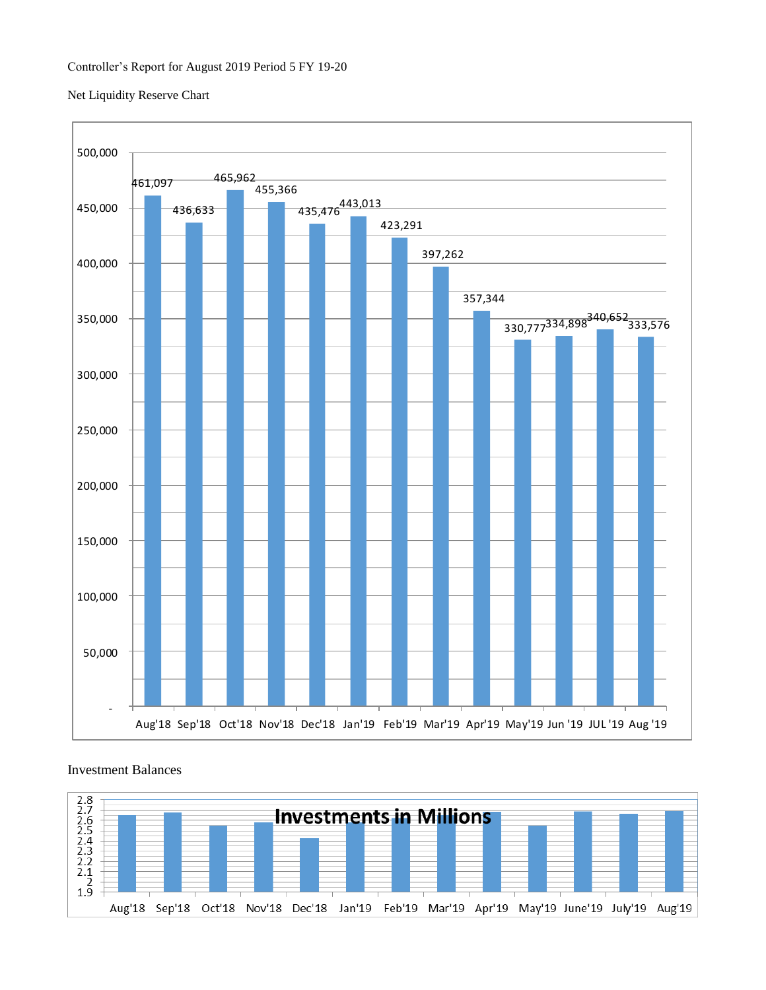### Net Liquidity Reserve Chart



## Investment Balances

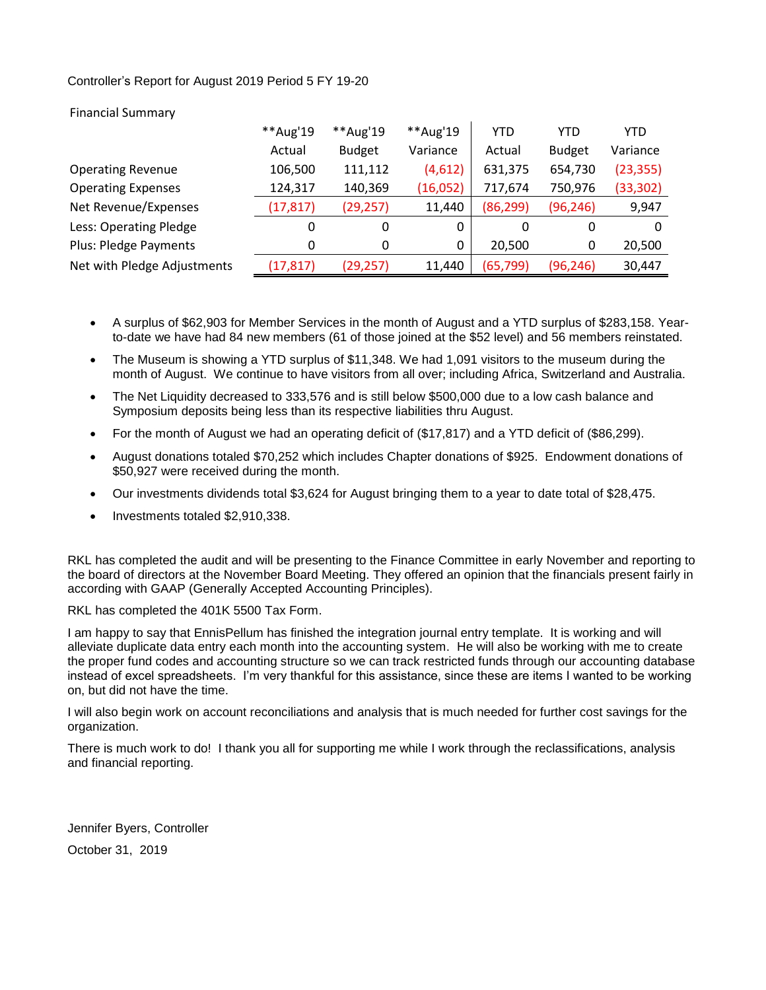## Controller's Report for August 2019 Period 5 FY 19-20

|                              | **Aug'19  | **Aug'19      | **Aug'19 | YTD       | YTD           | YTD       |
|------------------------------|-----------|---------------|----------|-----------|---------------|-----------|
|                              | Actual    | <b>Budget</b> | Variance | Actual    | <b>Budget</b> | Variance  |
| <b>Operating Revenue</b>     | 106,500   | 111,112       | (4,612)  | 631,375   | 654,730       | (23, 355) |
| <b>Operating Expenses</b>    | 124,317   | 140,369       | (16,052) | 717,674   | 750,976       | (33, 302) |
| Net Revenue/Expenses         | (17, 817) | (29, 257)     | 11,440   | (86, 299) | (96, 246)     | 9,947     |
| Less: Operating Pledge       | 0         | 0             | 0        | 0         | 0             | $\Omega$  |
| <b>Plus: Pledge Payments</b> | 0         | 0             | 0        | 20,500    | 0             | 20,500    |
| Net with Pledge Adjustments  | (17, 817) | (29, 257)     | 11,440   | (65, 799) | (96, 246)     | 30,447    |

## Financial Summary

- A surplus of \$62,903 for Member Services in the month of August and a YTD surplus of \$283,158. Yearto-date we have had 84 new members (61 of those joined at the \$52 level) and 56 members reinstated.
- The Museum is showing a YTD surplus of \$11,348. We had 1,091 visitors to the museum during the month of August. We continue to have visitors from all over; including Africa, Switzerland and Australia.
- The Net Liquidity decreased to 333,576 and is still below \$500,000 due to a low cash balance and Symposium deposits being less than its respective liabilities thru August.
- For the month of August we had an operating deficit of (\$17,817) and a YTD deficit of (\$86,299).
- August donations totaled \$70,252 which includes Chapter donations of \$925. Endowment donations of \$50,927 were received during the month.
- Our investments dividends total \$3,624 for August bringing them to a year to date total of \$28,475.
- Investments totaled \$2,910,338.

RKL has completed the audit and will be presenting to the Finance Committee in early November and reporting to the board of directors at the November Board Meeting. They offered an opinion that the financials present fairly in according with GAAP (Generally Accepted Accounting Principles).

RKL has completed the 401K 5500 Tax Form.

I am happy to say that EnnisPellum has finished the integration journal entry template. It is working and will alleviate duplicate data entry each month into the accounting system. He will also be working with me to create the proper fund codes and accounting structure so we can track restricted funds through our accounting database instead of excel spreadsheets. I'm very thankful for this assistance, since these are items I wanted to be working on, but did not have the time.

I will also begin work on account reconciliations and analysis that is much needed for further cost savings for the organization.

There is much work to do! I thank you all for supporting me while I work through the reclassifications, analysis and financial reporting.

Jennifer Byers, Controller October 31, 2019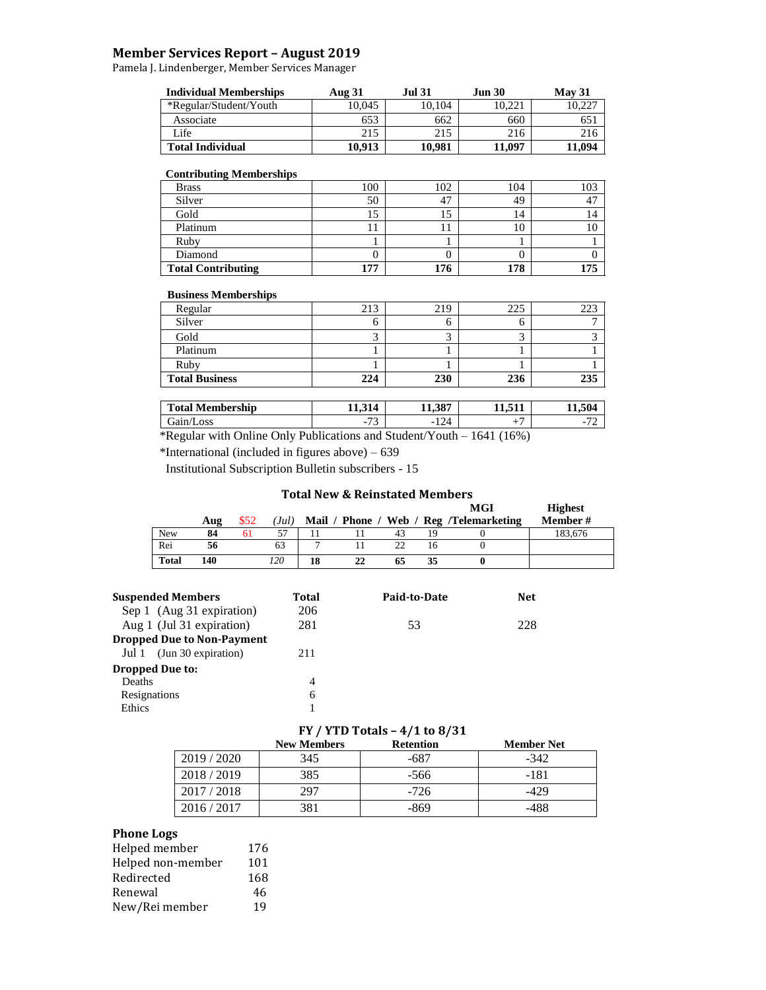## **Member Services Report – August 2019**

Pamela J. Lindenberger, Member Services Manager

| <b>Individual Memberships</b> | <b>Aug 31</b> | Jul 31. | <b>Jun 30</b> | May 31 |
|-------------------------------|---------------|---------|---------------|--------|
| *Regular/Student/Youth        | 10.045        | 10.104  | 10.221        | 10.227 |
| Associate                     | 653           | 662     | 660           | 65.    |
| Life                          | 215           | 215     | 216           | 216    |
| <b>Total Individual</b>       | 10.913        | 10.981  | 11.097        | 11.094 |

#### **Contributing Memberships**

| <b>Brass</b>              | 100 | 102 | 104 | 103 |
|---------------------------|-----|-----|-----|-----|
| Silver                    | 50  | 47  | 49  |     |
| Gold                      | IJ  | IJ  | 14  | 14  |
| Platinum                  | 11  | 11  | 10  | IO  |
| Ruby                      |     |     |     |     |
| Diamond                   |     |     |     |     |
| <b>Total Contributing</b> | 177 | 176 | 178 | .75 |

#### **Business Memberships**

Г

| Regular               | 213 | 219 | 225 | 223 |
|-----------------------|-----|-----|-----|-----|
| Silver                |     |     |     |     |
| Gold                  |     |     |     |     |
| Platinum              |     |     |     |     |
| Ruby                  |     |     |     |     |
| <b>Total Business</b> | 224 | 230 | 236 | 235 |

| <b>Total Membership</b>                                  |                                           | 11.387                              | <b>F44</b>                          | 11.504                                               |
|----------------------------------------------------------|-------------------------------------------|-------------------------------------|-------------------------------------|------------------------------------------------------|
| Gain/Loss                                                | $\overline{\phantom{a}}$<br>$ \cdot$<br>◡ | -124                                |                                     | $\overline{\phantom{a}}$<br>$\overline{\phantom{0}}$ |
| $\sim$ 1.<br>$\sqrt{ }$<br>$\mathbf{r}$ 1 1 $\mathbf{r}$ |                                           | $1 \cap$<br>$\cdot$ $\cdot$ $\cdot$ | $1$ $2$ $1$ $1$ $1$ $2$ $2$ $1$ $1$ |                                                      |

\*Regular with Online Only Publications and Student/Youth – 1641 (16%)

\*International (included in figures above) – 639

Institutional Subscription Bulletin subscribers - 15

## **Total New & Reinstated Members**

|              |     |      |      |      |    |    |    | MGI                              | <b>Highest</b> |
|--------------|-----|------|------|------|----|----|----|----------------------------------|----------------|
|              | Aug | \$52 | (Jul | Mail |    |    |    | Phone / Web / Reg /Telemarketing | Member #       |
| <b>New</b>   | 84  | 61   | 57   |      |    | 43 | 19 |                                  | 183.676        |
| Rei          | 56  |      | 63   |      |    | 22 | 16 |                                  |                |
| <b>Total</b> | 140 |      | 120  | 18   | 22 | 65 | 35 |                                  |                |

|              | <b>Suspended Members</b>                                       | Total          | Paid-to-Date | Net |
|--------------|----------------------------------------------------------------|----------------|--------------|-----|
|              | Sep 1 (Aug 31 expiration)                                      | 206<br>281     |              |     |
|              | Aug 1 (Jul 31 expiration)<br><b>Dropped Due to Non-Payment</b> |                | 53           | 228 |
|              |                                                                |                |              |     |
| Jul 1        | (Jun 30 expiration)                                            | 211            |              |     |
|              | <b>Dropped Due to:</b>                                         |                |              |     |
| Deaths       |                                                                | $\overline{4}$ |              |     |
| Resignations |                                                                | 6              |              |     |
| Ethics       |                                                                |                |              |     |

## **FY / YTD Totals – 4/1 to 8/31**

|           | <b>New Members</b> | <b>Retention</b> | <b>Member Net</b> |
|-----------|--------------------|------------------|-------------------|
| 2019/2020 | 345                | -687             | $-342$            |
| 2018/2019 | 385                | $-566$           | $-181$            |
| 2017/2018 | 297                | $-726$           | -429              |
| 2016/2017 | 381                | -869             | -488              |

## **Phone Logs**

| Helped member     | 176 |
|-------------------|-----|
| Helped non-member | 101 |
| Redirected        | 168 |
| Renewal           | 46  |
| New/Rei member    | 19  |